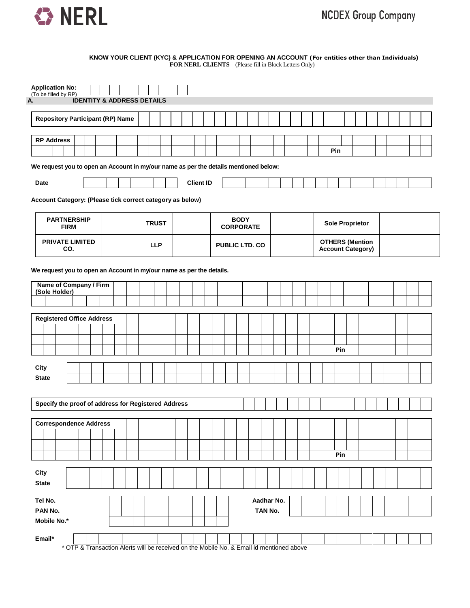

#### **KNOW YOUR CLIENT (KYC) & APPLICATION FOR OPENING AN ACCOUNT (For entities other than Individuals) FOR NERL CLIENTS** (Please fill in Block Letters Only)

| <b>Application No:</b><br>(To be filled by RP)                                       |             |  |  |                                                                                          |              |  |                  |  |  |             |                  |            |  |  |                                                    |                        |     |  |  |  |  |
|--------------------------------------------------------------------------------------|-------------|--|--|------------------------------------------------------------------------------------------|--------------|--|------------------|--|--|-------------|------------------|------------|--|--|----------------------------------------------------|------------------------|-----|--|--|--|--|
| А.                                                                                   |             |  |  | <b>IDENTITY &amp; ADDRESS DETAILS</b>                                                    |              |  |                  |  |  |             |                  |            |  |  |                                                    |                        |     |  |  |  |  |
| <b>Repository Participant (RP) Name</b>                                              |             |  |  |                                                                                          |              |  |                  |  |  |             |                  |            |  |  |                                                    |                        |     |  |  |  |  |
| <b>RP Address</b>                                                                    |             |  |  |                                                                                          |              |  |                  |  |  |             |                  |            |  |  |                                                    |                        |     |  |  |  |  |
|                                                                                      |             |  |  |                                                                                          |              |  |                  |  |  |             |                  |            |  |  |                                                    | Pin                    |     |  |  |  |  |
| We request you to open an Account in my/our name as per the details mentioned below: |             |  |  |                                                                                          |              |  |                  |  |  |             |                  |            |  |  |                                                    |                        |     |  |  |  |  |
| <b>Date</b>                                                                          |             |  |  |                                                                                          |              |  | <b>Client ID</b> |  |  |             |                  |            |  |  |                                                    |                        |     |  |  |  |  |
| Account Category: (Please tick correct category as below)                            |             |  |  |                                                                                          |              |  |                  |  |  |             |                  |            |  |  |                                                    |                        |     |  |  |  |  |
| <b>PARTNERSHIP</b>                                                                   | <b>FIRM</b> |  |  |                                                                                          | <b>TRUST</b> |  |                  |  |  | <b>BODY</b> | <b>CORPORATE</b> |            |  |  |                                                    | <b>Sole Proprietor</b> |     |  |  |  |  |
| PRIVATE LIMITED                                                                      | CO.         |  |  |                                                                                          | <b>LLP</b>   |  |                  |  |  |             | PUBLIC LTD. CO   |            |  |  | <b>OTHERS (Mention</b><br><b>Account Category)</b> |                        |     |  |  |  |  |
| We request you to open an Account in my/our name as per the details.                 |             |  |  |                                                                                          |              |  |                  |  |  |             |                  |            |  |  |                                                    |                        |     |  |  |  |  |
| Name of Company / Firm<br>(Sole Holder)                                              |             |  |  |                                                                                          |              |  |                  |  |  |             |                  |            |  |  |                                                    |                        |     |  |  |  |  |
|                                                                                      |             |  |  |                                                                                          |              |  |                  |  |  |             |                  |            |  |  |                                                    |                        |     |  |  |  |  |
| <b>Registered Office Address</b>                                                     |             |  |  |                                                                                          |              |  |                  |  |  |             |                  |            |  |  |                                                    |                        |     |  |  |  |  |
|                                                                                      |             |  |  |                                                                                          |              |  |                  |  |  |             |                  |            |  |  |                                                    |                        |     |  |  |  |  |
|                                                                                      |             |  |  |                                                                                          |              |  |                  |  |  |             |                  |            |  |  |                                                    |                        |     |  |  |  |  |
|                                                                                      |             |  |  |                                                                                          |              |  |                  |  |  |             |                  |            |  |  |                                                    |                        | Pin |  |  |  |  |
| City                                                                                 |             |  |  |                                                                                          |              |  |                  |  |  |             |                  |            |  |  |                                                    |                        |     |  |  |  |  |
| <b>State</b>                                                                         |             |  |  |                                                                                          |              |  |                  |  |  |             |                  |            |  |  |                                                    |                        |     |  |  |  |  |
|                                                                                      |             |  |  |                                                                                          |              |  |                  |  |  |             |                  |            |  |  |                                                    |                        |     |  |  |  |  |
| Specify the proof of address for Registered Address                                  |             |  |  |                                                                                          |              |  |                  |  |  |             |                  |            |  |  |                                                    |                        |     |  |  |  |  |
|                                                                                      |             |  |  |                                                                                          |              |  |                  |  |  |             |                  |            |  |  |                                                    |                        |     |  |  |  |  |
| <b>Correspondence Address</b>                                                        |             |  |  |                                                                                          |              |  |                  |  |  |             |                  |            |  |  |                                                    |                        |     |  |  |  |  |
|                                                                                      |             |  |  |                                                                                          |              |  |                  |  |  |             |                  |            |  |  |                                                    |                        |     |  |  |  |  |
|                                                                                      |             |  |  |                                                                                          |              |  |                  |  |  |             |                  |            |  |  |                                                    |                        |     |  |  |  |  |
|                                                                                      |             |  |  |                                                                                          |              |  |                  |  |  |             |                  |            |  |  |                                                    |                        | Pin |  |  |  |  |
| City                                                                                 |             |  |  |                                                                                          |              |  |                  |  |  |             |                  |            |  |  |                                                    |                        |     |  |  |  |  |
| <b>State</b>                                                                         |             |  |  |                                                                                          |              |  |                  |  |  |             |                  |            |  |  |                                                    |                        |     |  |  |  |  |
| Tel No.                                                                              |             |  |  |                                                                                          |              |  |                  |  |  |             |                  | Aadhar No. |  |  |                                                    |                        |     |  |  |  |  |
| PAN No.                                                                              |             |  |  |                                                                                          |              |  |                  |  |  |             |                  | TAN No.    |  |  |                                                    |                        |     |  |  |  |  |
| Mobile No.*                                                                          |             |  |  |                                                                                          |              |  |                  |  |  |             |                  |            |  |  |                                                    |                        |     |  |  |  |  |
| Email*                                                                               |             |  |  |                                                                                          |              |  |                  |  |  |             |                  |            |  |  |                                                    |                        |     |  |  |  |  |
|                                                                                      |             |  |  | * OTP & Transaction Alerts will be received on the Mobile No. & Email id mentioned above |              |  |                  |  |  |             |                  |            |  |  |                                                    |                        |     |  |  |  |  |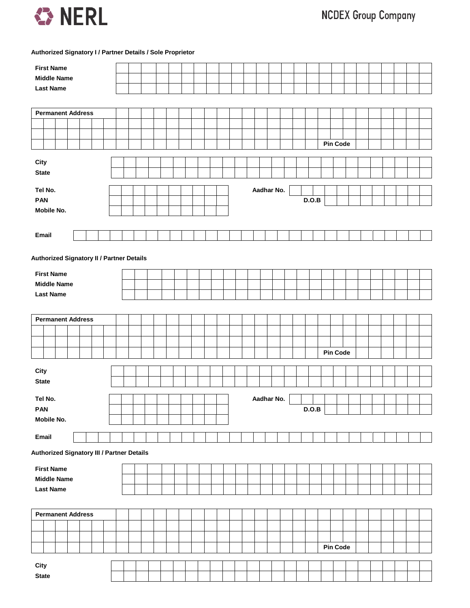

**Authorized Signatory I / Partner Details / Sole Proprietor**

| <b>First Name</b>                                 |  |  |  |  |  |            |  |       |                 |  |  |  |  |
|---------------------------------------------------|--|--|--|--|--|------------|--|-------|-----------------|--|--|--|--|
| <b>Middle Name</b>                                |  |  |  |  |  |            |  |       |                 |  |  |  |  |
| <b>Last Name</b>                                  |  |  |  |  |  |            |  |       |                 |  |  |  |  |
|                                                   |  |  |  |  |  |            |  |       |                 |  |  |  |  |
| <b>Permanent Address</b>                          |  |  |  |  |  |            |  |       |                 |  |  |  |  |
|                                                   |  |  |  |  |  |            |  |       |                 |  |  |  |  |
|                                                   |  |  |  |  |  |            |  |       |                 |  |  |  |  |
|                                                   |  |  |  |  |  |            |  |       | <b>Pin Code</b> |  |  |  |  |
| City                                              |  |  |  |  |  |            |  |       |                 |  |  |  |  |
| <b>State</b>                                      |  |  |  |  |  |            |  |       |                 |  |  |  |  |
|                                                   |  |  |  |  |  |            |  |       |                 |  |  |  |  |
| Tel No.                                           |  |  |  |  |  | Aadhar No. |  |       |                 |  |  |  |  |
| <b>PAN</b>                                        |  |  |  |  |  |            |  | D.O.B |                 |  |  |  |  |
| Mobile No.                                        |  |  |  |  |  |            |  |       |                 |  |  |  |  |
|                                                   |  |  |  |  |  |            |  |       |                 |  |  |  |  |
| Email                                             |  |  |  |  |  |            |  |       |                 |  |  |  |  |
|                                                   |  |  |  |  |  |            |  |       |                 |  |  |  |  |
| Authorized Signatory II / Partner Details         |  |  |  |  |  |            |  |       |                 |  |  |  |  |
| <b>First Name</b>                                 |  |  |  |  |  |            |  |       |                 |  |  |  |  |
| <b>Middle Name</b>                                |  |  |  |  |  |            |  |       |                 |  |  |  |  |
| <b>Last Name</b>                                  |  |  |  |  |  |            |  |       |                 |  |  |  |  |
|                                                   |  |  |  |  |  |            |  |       |                 |  |  |  |  |
|                                                   |  |  |  |  |  |            |  |       |                 |  |  |  |  |
| <b>Permanent Address</b>                          |  |  |  |  |  |            |  |       |                 |  |  |  |  |
|                                                   |  |  |  |  |  |            |  |       |                 |  |  |  |  |
|                                                   |  |  |  |  |  |            |  |       |                 |  |  |  |  |
|                                                   |  |  |  |  |  |            |  |       | <b>Pin Code</b> |  |  |  |  |
| City                                              |  |  |  |  |  |            |  |       |                 |  |  |  |  |
| <b>State</b>                                      |  |  |  |  |  |            |  |       |                 |  |  |  |  |
|                                                   |  |  |  |  |  |            |  |       |                 |  |  |  |  |
| Tel No.                                           |  |  |  |  |  | Aadhar No. |  |       |                 |  |  |  |  |
| <b>PAN</b>                                        |  |  |  |  |  |            |  | D.O.B |                 |  |  |  |  |
| Mobile No.                                        |  |  |  |  |  |            |  |       |                 |  |  |  |  |
| Email                                             |  |  |  |  |  |            |  |       |                 |  |  |  |  |
|                                                   |  |  |  |  |  |            |  |       |                 |  |  |  |  |
| <b>Authorized Signatory III / Partner Details</b> |  |  |  |  |  |            |  |       |                 |  |  |  |  |
| <b>First Name</b>                                 |  |  |  |  |  |            |  |       |                 |  |  |  |  |
| <b>Middle Name</b>                                |  |  |  |  |  |            |  |       |                 |  |  |  |  |
| <b>Last Name</b>                                  |  |  |  |  |  |            |  |       |                 |  |  |  |  |
|                                                   |  |  |  |  |  |            |  |       |                 |  |  |  |  |
| <b>Permanent Address</b>                          |  |  |  |  |  |            |  |       |                 |  |  |  |  |
|                                                   |  |  |  |  |  |            |  |       |                 |  |  |  |  |
|                                                   |  |  |  |  |  |            |  |       |                 |  |  |  |  |
|                                                   |  |  |  |  |  |            |  |       | Pin Code        |  |  |  |  |
|                                                   |  |  |  |  |  |            |  |       |                 |  |  |  |  |
| City                                              |  |  |  |  |  |            |  |       |                 |  |  |  |  |
| <b>State</b>                                      |  |  |  |  |  |            |  |       |                 |  |  |  |  |
|                                                   |  |  |  |  |  |            |  |       |                 |  |  |  |  |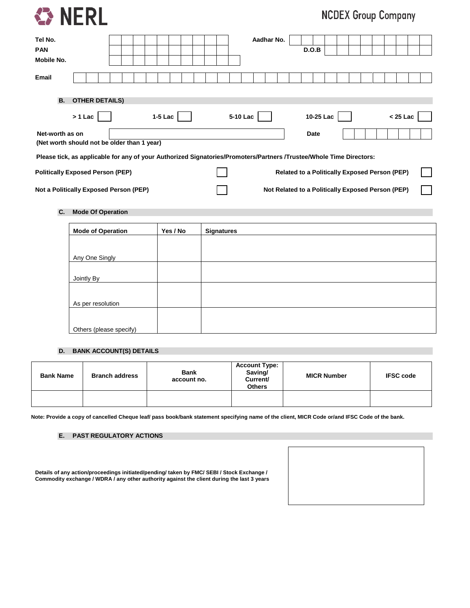

# **NCDEX Group Company**

| Tel No.<br><b>PAN</b><br>Mobile No.                                                                                 |                                    |  |  |           |  |  |  |          | Aadhar No. |                                                   |                                                      | D.O.B     |  |  |  |            |  |
|---------------------------------------------------------------------------------------------------------------------|------------------------------------|--|--|-----------|--|--|--|----------|------------|---------------------------------------------------|------------------------------------------------------|-----------|--|--|--|------------|--|
| Email                                                                                                               |                                    |  |  |           |  |  |  |          |            |                                                   |                                                      |           |  |  |  |            |  |
| <b>B.</b>                                                                                                           | <b>OTHER DETAILS)</b><br>$> 1$ Lac |  |  | $1-5$ Lac |  |  |  | 5-10 Lac |            |                                                   |                                                      | 10-25 Lac |  |  |  | $< 25$ Lac |  |
| Net-worth as on<br>(Net worth should not be older than 1 year)                                                      |                                    |  |  |           |  |  |  |          |            |                                                   |                                                      | Date      |  |  |  |            |  |
| Please tick, as applicable for any of your Authorized Signatories/Promoters/Partners /Trustee/Whole Time Directors: |                                    |  |  |           |  |  |  |          |            |                                                   |                                                      |           |  |  |  |            |  |
| <b>Politically Exposed Person (PEP)</b>                                                                             |                                    |  |  |           |  |  |  |          |            |                                                   | <b>Related to a Politically Exposed Person (PEP)</b> |           |  |  |  |            |  |
| Not a Politically Exposed Person (PEP)                                                                              |                                    |  |  |           |  |  |  |          |            | Not Related to a Politically Exposed Person (PEP) |                                                      |           |  |  |  |            |  |

## **C. Mode Of Operation**

| <b>Mode of Operation</b> | Yes / No | <b>Signatures</b> |
|--------------------------|----------|-------------------|
|                          |          |                   |
| Any One Singly           |          |                   |
|                          |          |                   |
| Jointly By               |          |                   |
|                          |          |                   |
| As per resolution        |          |                   |
|                          |          |                   |
| Others (please specify)  |          |                   |

## **D. BANK ACCOUNT(S) DETAILS**

| <b>Bank Name</b> | <b>Branch address</b> | <b>Bank</b><br>account no. | <b>Account Type:</b><br>Saving/<br>Current/<br><b>Others</b> | <b>MICR Number</b> | <b>IFSC code</b> |
|------------------|-----------------------|----------------------------|--------------------------------------------------------------|--------------------|------------------|
|                  |                       |                            |                                                              |                    |                  |

**Note: Provide a copy of cancelled Cheque leaf/ pass book/bank statement specifying name of the client, MICR Code or/and IFSC Code of the bank.**

## **E. PAST REGULATORY ACTIONS**

|  | Details of any action/proceedings initiated/pending/ taken by FMC/ SEBI / Stock Exchange / |  |  |
|--|--------------------------------------------------------------------------------------------|--|--|
|  | Commodity exchange / WDRA / any other authority against the client during the last 3 years |  |  |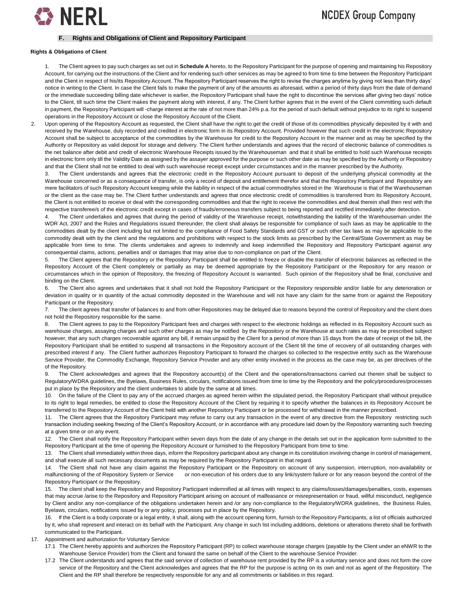

#### **F. Rights and Obligations of Client and Repository Participant**

#### **Rights & Obligations of Client**

1. The Client agrees to pay such charges as set out in **Schedule A** hereto, to the Repository Participant for the purpose of opening and maintaining his Repository Account, for carrying out the instructions of the Client and for rendering such other services as may be agreed to from time to time between the Repository Participant and the Client in respect of his/its Repository Account. The Repository Participant reserves the right to revise the charges anytime by giving not less than thirty days' notice in writing to the Client. In case the Client fails to make the payment of any of the amounts as aforesaid, within a period of thirty days from the date of demand or the immediate succeeding billing date whichever is earlier, the Repository Participant shall have the right to discontinue the services after giving two days' notice to the Client, till such time the Client makes the payment along with interest, if any. The Client further agrees that in the event of the Client committing such default in payment, the Repository Participant will -charge interest at the rate of not more than 24% p.a. for the period of such default without prejudice to its right to suspend operations in the Repository Account or close the Repository Account of the Client.

Upon opening of the Repository Account as requested, the Client shall have the right to get the credit of those of its commodities physically deposited by it with and received by the Warehouse, duly recorded and credited in electronic form in its Repository Account. Provided however that such credit in the electronic Repository Account shall be subject to acceptance of the commodities by the Warehouse for credit to the Repository Account in the manner and as may be specified by the Authority or Repository as valid deposit for storage and delivery. The Client further understands and agrees that the record of electronic balance of commodities is the net balance after debit and credit of electronic Warehouse Receipts issued by the Warehouseman and that it shall be entitled to hold such Warehouse receipts in electronic form only till the Validity Date as assigned by the assayer approved for the purpose or such other date as may be specified by the Authority or Repository and that the Client shall not be entitled to deal with such warehouse receipt except under circumstances and in the manner prescribed by the Authority.

3. The Client understands and agrees that the electronic credit in the Repository Account pursuant to deposit of the underlying physical commodity at the Warehouse concerned or as a consequence of transfer, is only a record of deposit and entitlement therefor and that the Repository Participant and Repository are mere facilitators of such Repository Account keeping while the liability in respect of the actual commodity/ies stored in the Warehouse is that of the Warehouseman or the client as the case may be. The Client further understands and agrees that once electronic credit of commodities is transferred from its Repository Account, the Client is not entitled to receive or deal with the corresponding commodities and that the right to receive the commodities and deal therein shall then rest with the respective transferee/s of the electronic credit except in cases of frauds/erroneous transfers subject to being reported and rectified immediately after detection.

The Client undertakes and agrees that during the period of validity of the Warehouse receipt, notwithstanding the liability of the Warehouseman under the WDR Act, 2007 and the Rules and Regulations issued thereunder, the client shall always be responsible for compliance of such laws as may be applicable to the commodities dealt by the client including but not limited to the compliance of Food Safety Standards and GST or such other tax laws as may be applicable to the commodity dealt with by the client and the regulations and prohibitions with respect to the stock limits as prescribed by the Central/State Government as may be applicable from time to time. The clients undertakes and agrees to indemnify and keep indemnified the Repository and Repository Participant against any consequential claims, actions, penalties and/ or damages that may arise due to non-compliance on part of the Client.

5. The Client agrees that the Repository or the Repository Participant shall be entitled to freeze or disable the transfer of electronic balances as reflected in the Repository Account of the Client completely or partially as may be deemed appropriate by the Repository Participant or the Repository for any reason or circumstances which in the opinion of Repository, the freezing of Repository Account is warranted. Such opinion of the Repository shall be final, conclusive and binding on the Client.

6. The Client also agrees and undertakes that it shall not hold the Repository Participant or the Repository responsible and/or liable for any deterioration or deviation in quality or in quantity of the actual commodity deposited in the Warehouse and will not have any claim for the same from or against the Repository Participant or the Repository.

7. The client agrees that transfer of balances to and from other Repositories may be delayed due to reasons beyond the control of Repository and the client does not hold the Repository responsible for the same.

The Client agrees to pay to the Repository Participant fees and charges with respect to the electronic holdings as reflected in its Repository Account such as warehouse charges, assaying charges and such other charges as may be notified by the Repository or the Warehouse at such rates as may be prescribed subject however, that any such charges recoverable against any bill, if remain unpaid by the Client for a period of more than 15 days from the date of receipt of the bill, the Repository Participant shall be entitled to suspend all transactions in the Repository account of the Client till the time of recovery of all outstanding charges with prescribed interest if any. The Client further authorizes Repository Participant to forward the charges so collected to the respective entity such as the Warehouse Service Provider, the Commodity Exchange, Repository Service Provider and any other entity involved in the process as the case may be, as per directives of the of the Repository.

9. The Client acknowledges and agrees that the Repository account(s) of the Client and the operations/transactions carried out therein shall be subject to Regulatory/WDRA guidelines, the Byelaws, Business Rules, circulars, notifications issued from time to time by the Repository and the policy/procedures/processes put in place by the Repository and the client undertakes to abide by the same at all times.

10. On the failure of the Client to pay any of the accrued charges as agreed herein within the stipulated period, the Repository Participant shall without prejudice to its right to legal remedies, be entitled to close the Repository Account of the Client by requiring it to specify whether the balances in its Repository Account be transferred to the Repository Account of the Client held with another Repository Participant or be processed for withdrawal in the manner prescribed.

11. The Client agrees that the Repository Participant may refuse to carry out any transaction in the event of any directive from the Repository restricting such transaction including seeking freezing of the Client's Repository Account, or in accordance with any procedure laid down by the Repository warranting such freezing at a given time or on any event.

12. The Client shall notify the Repository Participant within seven days from the date of any change in the details set out in the application form submitted to the Repository Participant at the time of opening the Repository Account or furnished to the Repository Participant from time to time.

13. The Client shall immediately within three days, inform the Repository participant about any change in its constitution involving change in control of management, and shall execute all such necessary documents as may be required by the Repository Participant in that regard.

14. The Client shall not have any claim against the Repository Participant or the Repository on account of any suspension, interruption, non-availability or malfunctioning of the of Repository System or Service or non-execution of his orders due to any link/system failure or for any reason beyond the control of the Repository Participant or the Repository.

15. The client shall keep the Repository and Repository Participant indemnified at all times with respect to any claims/losses/damages/penalties, costs, expenses that may accrue /arise to the Repository and Repository Participant arising on account of malfeasance or misrepresentation or fraud, willful misconduct, negligence by Client and/or any non-compliance of the obligations undertaken herein and /or any non-compliance to the Regulatory/WDRA guidelines, the Business Rules, Byelaws, circulars, notifications issued by or any policy, processes put in place by the Repository.

16. If the Client is a body corporate or a legal entity, it shall, along with the account opening form, furnish to the Repository Participants, a list of officials authorized by it, who shall represent and interact on its behalf with the Participant. Any change in such list including additions, deletions or alterations thereto shall be forthwith communicated to the Participant.

17. Appointment and authorization for Voluntary Service:

- 17.1 The Client hereby appoints and authorizes the Repository Participant (RP) to collect warehouse storage charges (payable by the Client under an eNWR to the Warehouse Service Provider) from the Client and forward the same on behalf of the Client to the warehouse Service Provider.
- 17.2 The Client understands and agrees that the said service of collection of warehouse rent provided by the RP is a voluntary service and does not form the core service of the Repository and the Client acknowledges and agrees that the RP for the purpose is acting on its own and not as agent of the Repository. The Client and the RP shall therefore be respectively responsible for any and all commitments or liabilities in this regard.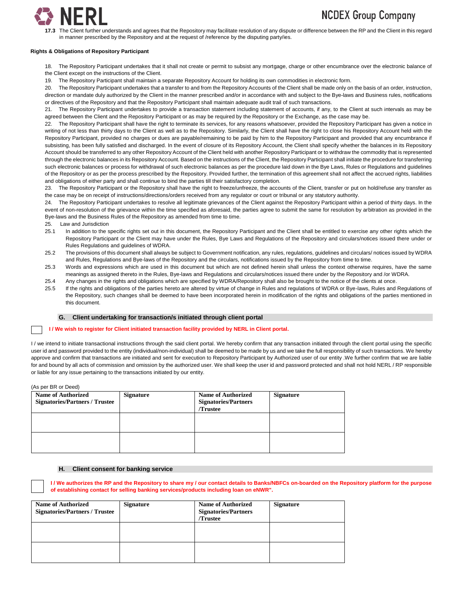

# **NCDEX Group Company**

**17.3** The Client further understands and agrees that the Repository may facilitate resolution of any dispute or difference between the RP and the Client in this regard in manner prescribed by the Repository and at the request of /reference by the disputing party/ies.

#### **Rights & Obligations of Repository Participant**

18. The Repository Participant undertakes that it shall not create or permit to subsist any mortgage, charge or other encumbrance over the electronic balance of the Client except on the instructions of the Client.

19. The Repository Participant shall maintain a separate Repository Account for holding its own commodities in electronic form.

20. The Repository Participant undertakes that a transfer to and from the Repository Accounts of the Client shall be made only on the basis of an order, instruction, direction or mandate duly authorized by the Client in the manner prescribed and/or in accordance with and subject to the Bye-laws and Business rules, notifications or directives of the Repository and that the Repository Participant shall maintain adequate audit trail of such transactions.

21. The Repository Participant undertakes to provide a transaction statement including statement of accounts, if any, to the Client at such intervals as may be agreed between the Client and the Repository Participant or as may be required by the Repository or the Exchange, as the case may be.

22. The Repository Participant shall have the right to terminate its services, for any reasons whatsoever, provided the Repository Participant has given a notice in writing of not less than thirty days to the Client as well as to the Repository. Similarly, the Client shall have the right to close his Repository Account held with the Repository Participant, provided no charges or dues are payable/remaining to be paid by him to the Repository Participant and provided that any encumbrance if subsisting, has been fully satisfied and discharged. In the event of closure of its Repository Account, the Client shall specify whether the balances in its Repository Account should be transferred to any other Repository Account of the Client held with another Repository Participant or to withdraw the commodity that is represented through the electronic balances in its Repository Account. Based on the instructions of the Client, the Repository Participant shall initiate the procedure for transferring such electronic balances or process for withdrawal of such electronic balances as per the procedure laid down in the Bye Laws. Rules or Regulations and guidelines of the Repository or as per the process prescribed by the Repository. Provided further, the termination of this agreement shall not affect the accrued rights, liabilities and obligations of either party and shall continue to bind the parties till their satisfactory completion.

23. The Repository Participant or the Repository shall have the right to freeze/unfreeze, the accounts of the Client, transfer or put on hold/refuse any transfer as the case may be on receipt of instructions/directions/orders received from any regulator or court or tribunal or any statutory authority.

24. The Repository Participant undertakes to resolve all legitimate grievances of the Client against the Repository Participant within a period of thirty days. In the event of non-resolution of the grievance within the time specified as aforesaid, the parties agree to submit the same for resolution by arbitration as provided in the Bye-laws and the Business Rules of the Repository as amended from time to time.

25. Law and Jurisdiction

- 25.1 In addition to the specific rights set out in this document, the Repository Participant and the Client shall be entitled to exercise any other rights which the Repository Participant or the Client may have under the Rules, Bye Laws and Regulations of the Repository and circulars/notices issued there under or Rules Regulations and guidelines of WDRA.
- 25.2 The provisions of this document shall always be subject to Government notification, any rules, regulations, guidelines and circulars/ notices issued by WDRA and Rules, Regulations and Bye-laws of the Repository and the circulars, notifications issued by the Repository from time to time.
- 25.3 Words and expressions which are used in this document but which are not defined herein shall unless the context otherwise requires, have the same meanings as assigned thereto in the Rules, Bye-laws and Regulations and circulars/notices issued there under by the Repository and /or WDRA.
- 25.4 Any changes in the rights and obligations which are specified by WDRA/Repository shall also be brought to the notice of the clients at once.
- 25.5 If the rights and obligations of the parties hereto are altered by virtue of change in Rules and regulations of WDRA or Bye-laws, Rules and Regulations of the Repository, such changes shall be deemed to have been incorporated herein in modification of the rights and obligations of the parties mentioned in this document.

#### **G. Client undertaking for transaction/s initiated through client portal**

#### **I / We wish to register for Client initiated transaction facility provided by NERL in Client portal.**

I/we intend to initiate transactional instructions through the said client portal. We hereby confirm that any transaction initiated through the client portal using the specific user id and password provided to the entity (individual/non-individual) shall be deemed to be made by us and we take the full responsibility of such transactions. We hereby approve and confirm that transactions are initiated and sent for execution to Repository Participant by Authorized user of our entity .We further confirm that we are liable for and bound by all acts of commission and omission by the authorized user. We shall keep the user id and password protected and shall not hold NERL / RP responsible or liable for any issue pertaining to the transactions initiated by our entity.

(As per BR or Deed)

| <b>Name of Authorized</b><br><b>Signatories/Partners / Trustee</b> | <b>Signature</b> | <b>Name of Authorized</b><br><b>Signatories/Partners</b><br>/Trustee | <b>Signature</b> |
|--------------------------------------------------------------------|------------------|----------------------------------------------------------------------|------------------|
|                                                                    |                  |                                                                      |                  |
|                                                                    |                  |                                                                      |                  |

#### **H. Client consent for banking service**

**I / We authorizes the RP and the Repository to share my / our contact details to Banks/NBFCs on-boarded on the Repository platform for the purpose of establishing contact for selling banking services/products including loan on eNWR".**

| <b>Name of Authorized</b><br><b>Signatories/Partners / Trustee</b> | <b>Signature</b> | <b>Name of Authorized</b><br><b>Signatories/Partners</b><br>/Trustee | <b>Signature</b> |
|--------------------------------------------------------------------|------------------|----------------------------------------------------------------------|------------------|
|                                                                    |                  |                                                                      |                  |
|                                                                    |                  |                                                                      |                  |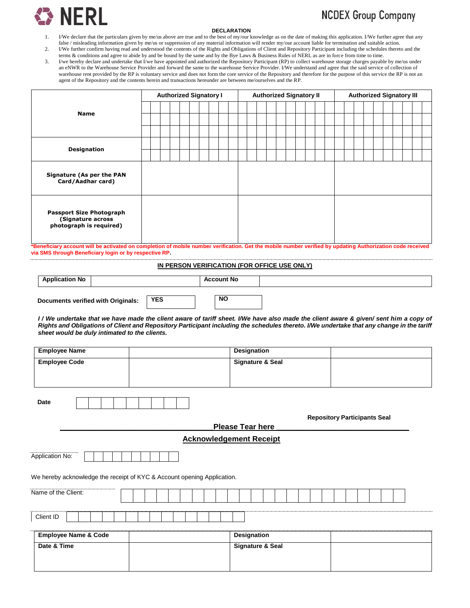

### **DECLARATION**

# **NCDEX Group Company**

- 1. I/We declare that the particulars given by me/us above are true and to the best of my/our knowledge as on the date of making this application. I/We further agree that any false / misleading information given by me/us or suppression of any material information will render my/our account liable for termination and suitable action.
- 2. I/We further confirm having read and understood the contents of the Rights and Obligations of Client and Repository Participant including the schedules thereto and the terms & conditions and agree to abide by and be bound by the same and by the Bye Laws & Business Rules of NERL as are in force from time to time.
- 3. I/we hereby declare and undertake that I/we have appointed and authorized the Repository Participant (RP) to collect warehouse storage charges payable by me/us under an eNWR to the Warehouse Service Provider and forward the same to the warehouse Service Provider. I/We understand and agree that the said service of collection of warehouse rent provided by the RP is voluntary service and does not form the core service of the Repository and therefore for the purpose of this service the RP is not an agent of the Repository and the contents herein and transactions hereunder are between me/ourselves and the RP.

|                                                                                 |  | <b>Authorized Signatory I</b> |  |  |  |  |  |  | <b>Authorized Signatory II</b> |  |  |  | <b>Authorized Signatory III</b> |  |  |  |
|---------------------------------------------------------------------------------|--|-------------------------------|--|--|--|--|--|--|--------------------------------|--|--|--|---------------------------------|--|--|--|
|                                                                                 |  |                               |  |  |  |  |  |  |                                |  |  |  |                                 |  |  |  |
| <b>Name</b>                                                                     |  |                               |  |  |  |  |  |  |                                |  |  |  |                                 |  |  |  |
|                                                                                 |  |                               |  |  |  |  |  |  |                                |  |  |  |                                 |  |  |  |
| <b>Designation</b>                                                              |  |                               |  |  |  |  |  |  |                                |  |  |  |                                 |  |  |  |
|                                                                                 |  |                               |  |  |  |  |  |  |                                |  |  |  |                                 |  |  |  |
| Signature (As per the PAN<br>Card/Aadhar card)                                  |  |                               |  |  |  |  |  |  |                                |  |  |  |                                 |  |  |  |
| <b>Passport Size Photograph</b><br>(Signature across<br>photograph is required) |  |                               |  |  |  |  |  |  |                                |  |  |  |                                 |  |  |  |

**\*Beneficiary account will be activated on completion of mobile number verification. Get the mobile number verified by updating Authorization code received via SMS through Beneficiary login or by respective RP.**

### **IN PERSON VERIFICATION (FOR OFFICE USE ONLY)**

| <b>Application No</b>              |            | <b>Account No</b> |  |
|------------------------------------|------------|-------------------|--|
| Documents verified with Originals: | <b>YES</b> | <b>NO</b>         |  |

*I* / We undertake that we have made the client aware of tariff sheet. I/We have also made the client aware & given/ sent him a copy of *Rights and Obligations of Client and Repository Participant including the schedules thereto. I/We undertake that any change in the tariff sheet would be duly intimated to the clients.* 

| <b>Employee Name</b>            |                                                                         | <b>Designation</b>             |                                     |
|---------------------------------|-------------------------------------------------------------------------|--------------------------------|-------------------------------------|
| <b>Employee Code</b>            |                                                                         | <b>Signature &amp; Seal</b>    |                                     |
| <b>Date</b>                     |                                                                         |                                | <b>Repository Participants Seal</b> |
|                                 |                                                                         | Please Tear here               |                                     |
|                                 |                                                                         | <b>Acknowledgement Receipt</b> |                                     |
| Application No:                 | We hereby acknowledge the receipt of KYC & Account opening Application. |                                |                                     |
| Name of the Client:             |                                                                         |                                |                                     |
| Client ID                       |                                                                         |                                |                                     |
| <b>Employee Name &amp; Code</b> |                                                                         | Designation                    |                                     |
| Date & Time                     |                                                                         | <b>Signature &amp; Seal</b>    |                                     |